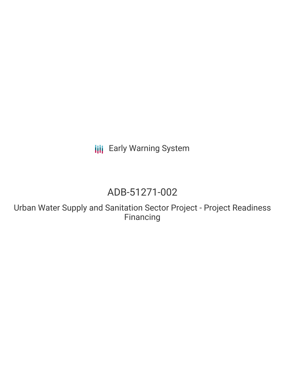**III** Early Warning System

# ADB-51271-002

Urban Water Supply and Sanitation Sector Project - Project Readiness Financing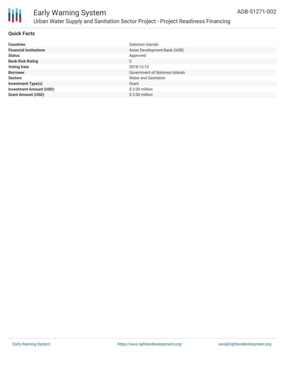

### **Quick Facts**

| <b>Countries</b>               | Solomon Islands               |
|--------------------------------|-------------------------------|
| <b>Financial Institutions</b>  | Asian Development Bank (ADB)  |
| <b>Status</b>                  | Approved                      |
| <b>Bank Risk Rating</b>        | C                             |
| <b>Voting Date</b>             | 2018-12-12                    |
| <b>Borrower</b>                | Government of Solomon Islands |
| <b>Sectors</b>                 | Water and Sanitation          |
| <b>Investment Type(s)</b>      | Grant                         |
| <b>Investment Amount (USD)</b> | $$3.00$ million               |
| <b>Grant Amount (USD)</b>      | $$3.00$ million               |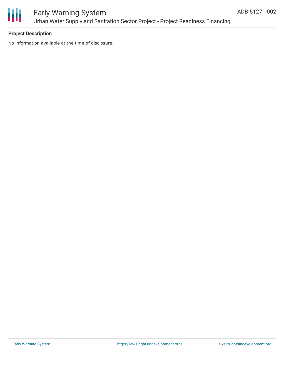

### **Project Description**

No information available at the time of disclosure.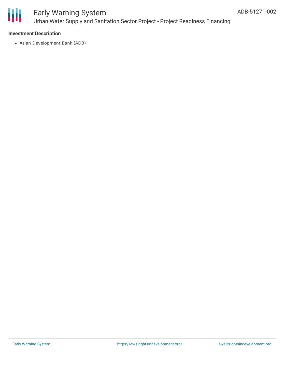

#### **Investment Description**

Asian Development Bank (ADB)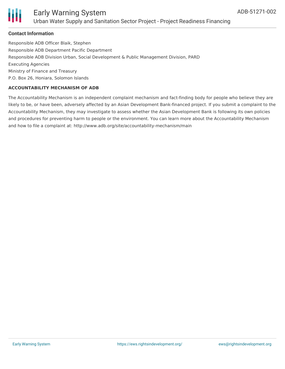

### **Contact Information**

Responsible ADB Officer Blaik, Stephen Responsible ADB Department Pacific Department Responsible ADB Division Urban, Social Development & Public Management Division, PARD Executing Agencies Ministry of Finance and Treasury P.O. Box 26, Honiara, Solomon Islands

#### **ACCOUNTABILITY MECHANISM OF ADB**

The Accountability Mechanism is an independent complaint mechanism and fact-finding body for people who believe they are likely to be, or have been, adversely affected by an Asian Development Bank-financed project. If you submit a complaint to the Accountability Mechanism, they may investigate to assess whether the Asian Development Bank is following its own policies and procedures for preventing harm to people or the environment. You can learn more about the Accountability Mechanism and how to file a complaint at: http://www.adb.org/site/accountability-mechanism/main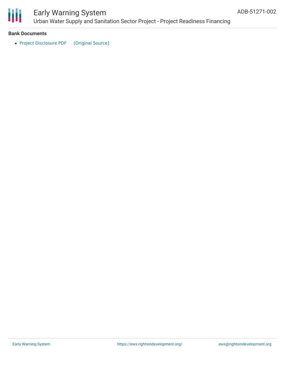

## Early Warning System

Urban Water Supply and Sanitation Sector Project - Project Readiness Financing

#### **Bank Documents**

• Project [Disclosure](https://ewsdata.rightsindevelopment.org/files/documents/02/ADB-51271-002.pdf) PDF [\[Original](https://www.adb.org/printpdf/projects/51271-002/main) Source]